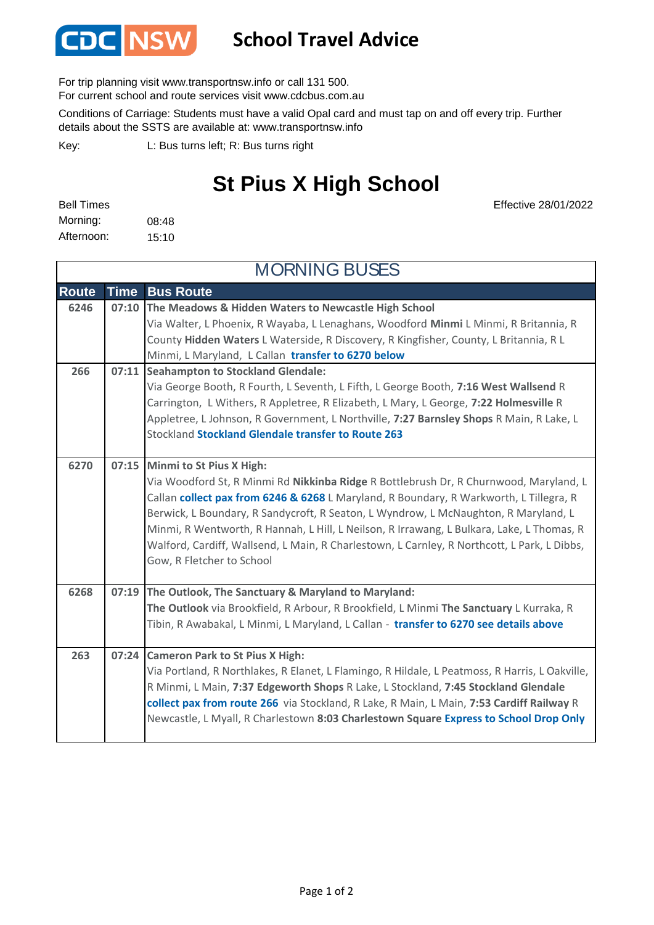

## **School Travel Advice**

For trip planning visit www.transportnsw.info or call 131 500.

For current school and route services visit www.cdcbus.com.au

Conditions of Carriage: Students must have a valid Opal card and must tap on and off every trip. Further details about the SSTS are available at: www.transportnsw.info

L: Bus turns left; R: Bus turns right Key:

## **St Pius X High School**

08:48 15:10 Morning: Bell Times Afternoon:

Effective 28/01/2022

| <b>MORNING BUSES</b> |             |                                                                                                                                                                                                                                                                                                                                                                                                                                                                                                                                   |  |
|----------------------|-------------|-----------------------------------------------------------------------------------------------------------------------------------------------------------------------------------------------------------------------------------------------------------------------------------------------------------------------------------------------------------------------------------------------------------------------------------------------------------------------------------------------------------------------------------|--|
| <b>Route</b>         | <b>Time</b> | <b>Bus Route</b>                                                                                                                                                                                                                                                                                                                                                                                                                                                                                                                  |  |
| 6246                 |             | 07:10 The Meadows & Hidden Waters to Newcastle High School<br>Via Walter, L Phoenix, R Wayaba, L Lenaghans, Woodford Minmi L Minmi, R Britannia, R<br>County Hidden Waters L Waterside, R Discovery, R Kingfisher, County, L Britannia, R L<br>Minmi, L Maryland, L Callan transfer to 6270 below                                                                                                                                                                                                                                 |  |
| 266                  | 07:11       | <b>Seahampton to Stockland Glendale:</b><br>Via George Booth, R Fourth, L Seventh, L Fifth, L George Booth, 7:16 West Wallsend R<br>Carrington, L Withers, R Appletree, R Elizabeth, L Mary, L George, 7:22 Holmesville R<br>Appletree, L Johnson, R Government, L Northville, 7:27 Barnsley Shops R Main, R Lake, L<br>Stockland Stockland Glendale transfer to Route 263                                                                                                                                                        |  |
| 6270                 |             | 07:15 Minmi to St Pius X High:<br>Via Woodford St, R Minmi Rd Nikkinba Ridge R Bottlebrush Dr, R Churnwood, Maryland, L<br>Callan collect pax from 6246 & 6268 L Maryland, R Boundary, R Warkworth, L Tillegra, R<br>Berwick, L Boundary, R Sandycroft, R Seaton, L Wyndrow, L McNaughton, R Maryland, L<br>Minmi, R Wentworth, R Hannah, L Hill, L Neilson, R Irrawang, L Bulkara, Lake, L Thomas, R<br>Walford, Cardiff, Wallsend, L Main, R Charlestown, L Carnley, R Northcott, L Park, L Dibbs,<br>Gow, R Fletcher to School |  |
| 6268                 |             | 07:19 The Outlook, The Sanctuary & Maryland to Maryland:<br>The Outlook via Brookfield, R Arbour, R Brookfield, L Minmi The Sanctuary L Kurraka, R<br>Tibin, R Awabakal, L Minmi, L Maryland, L Callan - transfer to 6270 see details above                                                                                                                                                                                                                                                                                       |  |
| 263                  |             | 07:24 Cameron Park to St Pius X High:<br>Via Portland, R Northlakes, R Elanet, L Flamingo, R Hildale, L Peatmoss, R Harris, L Oakville,<br>R Minmi, L Main, 7:37 Edgeworth Shops R Lake, L Stockland, 7:45 Stockland Glendale<br>collect pax from route 266 via Stockland, R Lake, R Main, L Main, 7:53 Cardiff Railway R<br>Newcastle, L Myall, R Charlestown 8:03 Charlestown Square Express to School Drop Only                                                                                                                |  |